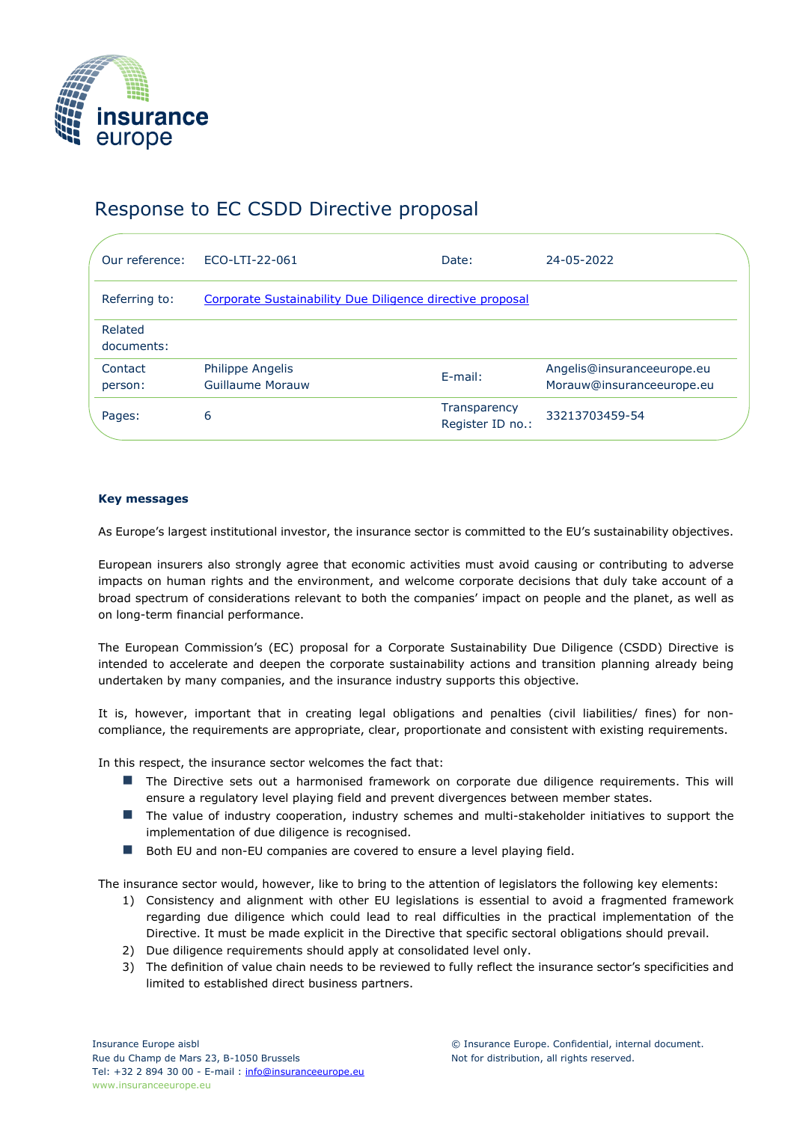

# Response to EC CSDD Directive proposal

| Our reference:        | ECO-LTI-22-061                                            | Date:                            | 24-05-2022                                              |
|-----------------------|-----------------------------------------------------------|----------------------------------|---------------------------------------------------------|
| Referring to:         | Corporate Sustainability Due Diligence directive proposal |                                  |                                                         |
| Related<br>documents: |                                                           |                                  |                                                         |
| Contact<br>person:    | Philippe Angelis<br>Guillaume Morauw                      | E-mail:                          | Angelis@insuranceeurope.eu<br>Morauw@insuranceeurope.eu |
| Pages:                | 6                                                         | Transparency<br>Register ID no.: | 33213703459-54                                          |

## **Key messages**

As Europe's largest institutional investor, the insurance sector is committed to the EU's sustainability objectives.

European insurers also strongly agree that economic activities must avoid causing or contributing to adverse impacts on human rights and the environment, and welcome corporate decisions that duly take account of a broad spectrum of considerations relevant to both the companies' impact on people and the planet, as well as on long-term financial performance.

The European Commission's (EC) proposal for a Corporate Sustainability Due Diligence (CSDD) Directive is intended to accelerate and deepen the corporate sustainability actions and transition planning already being undertaken by many companies, and the insurance industry supports this objective.

It is, however, important that in creating legal obligations and penalties (civil liabilities/ fines) for noncompliance, the requirements are appropriate, clear, proportionate and consistent with existing requirements.

In this respect, the insurance sector welcomes the fact that:

- The Directive sets out a harmonised framework on corporate due diligence requirements. This will ensure a regulatory level playing field and prevent divergences between member states.
- The value of industry cooperation, industry schemes and multi-stakeholder initiatives to support the implementation of due diligence is recognised.
- Both EU and non-EU companies are covered to ensure a level playing field.

The insurance sector would, however, like to bring to the attention of legislators the following key elements:

- 1) Consistency and alignment with other EU legislations is essential to avoid a fragmented framework regarding due diligence which could lead to real difficulties in the practical implementation of the Directive. It must be made explicit in the Directive that specific sectoral obligations should prevail.
- 2) Due diligence requirements should apply at consolidated level only.
- 3) The definition of value chain needs to be reviewed to fully reflect the insurance sector's specificities and limited to established direct business partners.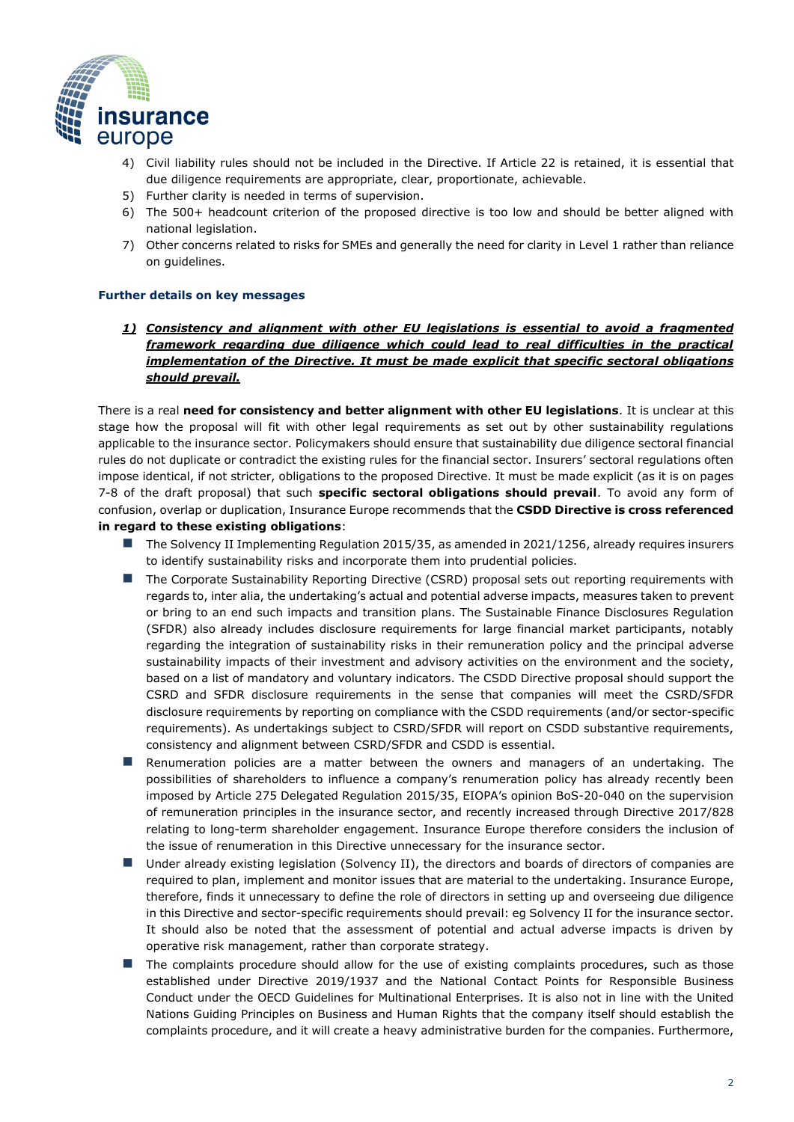

- 4) Civil liability rules should not be included in the Directive. If Article 22 is retained, it is essential that due diligence requirements are appropriate, clear, proportionate, achievable.
- 5) Further clarity is needed in terms of supervision.
- 6) The 500+ headcount criterion of the proposed directive is too low and should be better aligned with national legislation.
- 7) Other concerns related to risks for SMEs and generally the need for clarity in Level 1 rather than reliance on guidelines.

#### **Further details on key messages**

*1) Consistency and alignment with other EU legislations is essential to avoid a fragmented framework regarding due diligence which could lead to real difficulties in the practical implementation of the Directive. It must be made explicit that specific sectoral obligations should prevail.*

There is a real **need for consistency and better alignment with other EU legislations**. It is unclear at this stage how the proposal will fit with other legal requirements as set out by other sustainability regulations applicable to the insurance sector. Policymakers should ensure that sustainability due diligence sectoral financial rules do not duplicate or contradict the existing rules for the financial sector. Insurers' sectoral regulations often impose identical, if not stricter, obligations to the proposed Directive. It must be made explicit (as it is on pages 7-8 of the draft proposal) that such **specific sectoral obligations should prevail**. To avoid any form of confusion, overlap or duplication, Insurance Europe recommends that the **CSDD Directive is cross referenced in regard to these existing obligations**:

- The Solvency II Implementing Regulation 2015/35, as amended in 2021/1256, already requires insurers to identify sustainability risks and incorporate them into prudential policies.
- The Corporate Sustainability Reporting Directive (CSRD) proposal sets out reporting requirements with regards to, inter alia, the undertaking's actual and potential adverse impacts, measures taken to prevent or bring to an end such impacts and transition plans. The Sustainable Finance Disclosures Regulation (SFDR) also already includes disclosure requirements for large financial market participants, notably regarding the integration of sustainability risks in their remuneration policy and the principal adverse sustainability impacts of their investment and advisory activities on the environment and the society, based on a list of mandatory and voluntary indicators. The CSDD Directive proposal should support the CSRD and SFDR disclosure requirements in the sense that companies will meet the CSRD/SFDR disclosure requirements by reporting on compliance with the CSDD requirements (and/or sector-specific requirements). As undertakings subject to CSRD/SFDR will report on CSDD substantive requirements, consistency and alignment between CSRD/SFDR and CSDD is essential.
- Renumeration policies are a matter between the owners and managers of an undertaking. The possibilities of shareholders to influence a company's renumeration policy has already recently been imposed by Article 275 Delegated Regulation 2015/35, EIOPA's opinion BoS-20-040 on the supervision of remuneration principles in the insurance sector, and recently increased through Directive 2017/828 relating to long-term shareholder engagement. Insurance Europe therefore considers the inclusion of the issue of renumeration in this Directive unnecessary for the insurance sector.
- Under already existing legislation (Solvency II), the directors and boards of directors of companies are required to plan, implement and monitor issues that are material to the undertaking. Insurance Europe, therefore, finds it unnecessary to define the role of directors in setting up and overseeing due diligence in this Directive and sector-specific requirements should prevail: eg Solvency II for the insurance sector. It should also be noted that the assessment of potential and actual adverse impacts is driven by operative risk management, rather than corporate strategy.
- The complaints procedure should allow for the use of existing complaints procedures, such as those established under Directive 2019/1937 and the National Contact Points for Responsible Business Conduct under the OECD Guidelines for Multinational Enterprises. It is also not in line with the United Nations Guiding Principles on Business and Human Rights that the company itself should establish the complaints procedure, and it will create a heavy administrative burden for the companies. Furthermore,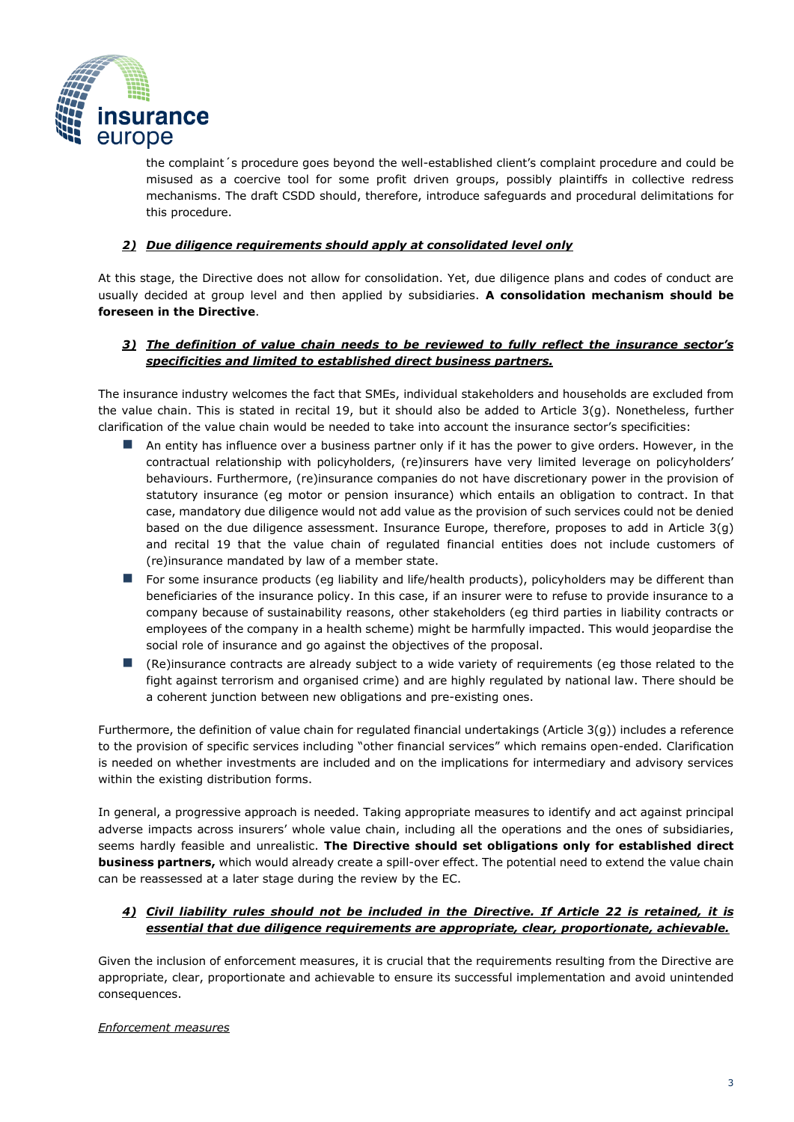

the complaint´s procedure goes beyond the well-established client's complaint procedure and could be misused as a coercive tool for some profit driven groups, possibly plaintiffs in collective redress mechanisms. The draft CSDD should, therefore, introduce safeguards and procedural delimitations for this procedure.

# *2) Due diligence requirements should apply at consolidated level only*

At this stage, the Directive does not allow for consolidation. Yet, due diligence plans and codes of conduct are usually decided at group level and then applied by subsidiaries. **A consolidation mechanism should be foreseen in the Directive**.

## *3) The definition of value chain needs to be reviewed to fully reflect the insurance sector's specificities and limited to established direct business partners.*

The insurance industry welcomes the fact that SMEs, individual stakeholders and households are excluded from the value chain. This is stated in recital 19, but it should also be added to Article 3(g). Nonetheless, further clarification of the value chain would be needed to take into account the insurance sector's specificities:

- An entity has influence over a business partner only if it has the power to give orders. However, in the contractual relationship with policyholders, (re)insurers have very limited leverage on policyholders' behaviours. Furthermore, (re)insurance companies do not have discretionary power in the provision of statutory insurance (eg motor or pension insurance) which entails an obligation to contract. In that case, mandatory due diligence would not add value as the provision of such services could not be denied based on the due diligence assessment. Insurance Europe, therefore, proposes to add in Article 3(g) and recital 19 that the value chain of regulated financial entities does not include customers of (re)insurance mandated by law of a member state.
- For some insurance products (eg liability and life/health products), policyholders may be different than beneficiaries of the insurance policy. In this case, if an insurer were to refuse to provide insurance to a company because of sustainability reasons, other stakeholders (eg third parties in liability contracts or employees of the company in a health scheme) might be harmfully impacted. This would jeopardise the social role of insurance and go against the objectives of the proposal.
- (Re)insurance contracts are already subject to a wide variety of requirements (eg those related to the fight against terrorism and organised crime) and are highly regulated by national law. There should be a coherent junction between new obligations and pre-existing ones.

Furthermore, the definition of value chain for regulated financial undertakings (Article 3(g)) includes a reference to the provision of specific services including "other financial services" which remains open-ended. Clarification is needed on whether investments are included and on the implications for intermediary and advisory services within the existing distribution forms.

In general, a progressive approach is needed. Taking appropriate measures to identify and act against principal adverse impacts across insurers' whole value chain, including all the operations and the ones of subsidiaries, seems hardly feasible and unrealistic. **The Directive should set obligations only for established direct business partners,** which would already create a spill-over effect. The potential need to extend the value chain can be reassessed at a later stage during the review by the EC.

## *4) Civil liability rules should not be included in the Directive. If Article 22 is retained, it is essential that due diligence requirements are appropriate, clear, proportionate, achievable.*

Given the inclusion of enforcement measures, it is crucial that the requirements resulting from the Directive are appropriate, clear, proportionate and achievable to ensure its successful implementation and avoid unintended consequences.

#### *Enforcement measures*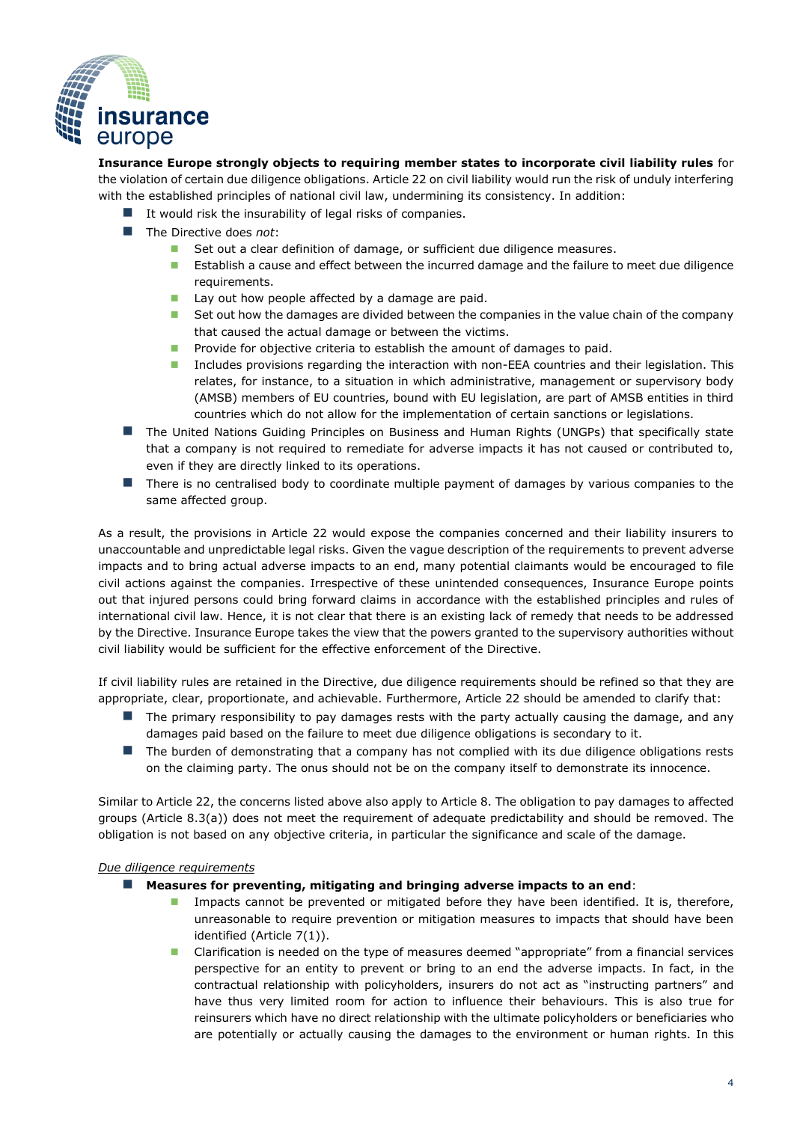

**Insurance Europe strongly objects to requiring member states to incorporate civil liability rules** for the violation of certain due diligence obligations. Article 22 on civil liability would run the risk of unduly interfering with the established principles of national civil law, undermining its consistency. In addition:

- It would risk the insurability of legal risks of companies.
- The Directive does *not*:
	- Set out a clear definition of damage, or sufficient due diligence measures.
	- ◼ Establish a cause and effect between the incurred damage and the failure to meet due diligence requirements.
	- Lay out how people affected by a damage are paid.
	- Set out how the damages are divided between the companies in the value chain of the company that caused the actual damage or between the victims.
	- Provide for objective criteria to establish the amount of damages to paid.
	- Includes provisions regarding the interaction with non-EEA countries and their legislation. This relates, for instance, to a situation in which administrative, management or supervisory body (AMSB) members of EU countries, bound with EU legislation, are part of AMSB entities in third countries which do not allow for the implementation of certain sanctions or legislations.
- The United Nations Guiding Principles on Business and Human Rights (UNGPs) that specifically state that a company is not required to remediate for adverse impacts it has not caused or contributed to, even if they are directly linked to its operations.
- There is no centralised body to coordinate multiple payment of damages by various companies to the same affected group.

As a result, the provisions in Article 22 would expose the companies concerned and their liability insurers to unaccountable and unpredictable legal risks. Given the vague description of the requirements to prevent adverse impacts and to bring actual adverse impacts to an end, many potential claimants would be encouraged to file civil actions against the companies. Irrespective of these unintended consequences, Insurance Europe points out that injured persons could bring forward claims in accordance with the established principles and rules of international civil law. Hence, it is not clear that there is an existing lack of remedy that needs to be addressed by the Directive. Insurance Europe takes the view that the powers granted to the supervisory authorities without civil liability would be sufficient for the effective enforcement of the Directive.

If civil liability rules are retained in the Directive, due diligence requirements should be refined so that they are appropriate, clear, proportionate, and achievable. Furthermore, Article 22 should be amended to clarify that:

- The primary responsibility to pay damages rests with the party actually causing the damage, and any damages paid based on the failure to meet due diligence obligations is secondary to it.
- The burden of demonstrating that a company has not complied with its due diligence obligations rests on the claiming party. The onus should not be on the company itself to demonstrate its innocence.

Similar to Article 22, the concerns listed above also apply to Article 8. The obligation to pay damages to affected groups (Article 8.3(a)) does not meet the requirement of adequate predictability and should be removed. The obligation is not based on any objective criteria, in particular the significance and scale of the damage.

### *Due diligence requirements*

- Measures for preventing, mitigating and bringing adverse impacts to an end:
	- Impacts cannot be prevented or mitigated before they have been identified. It is, therefore, unreasonable to require prevention or mitigation measures to impacts that should have been identified (Article 7(1)).
	- ◼ Clarification is needed on the type of measures deemed "appropriate" from a financial services perspective for an entity to prevent or bring to an end the adverse impacts. In fact, in the contractual relationship with policyholders, insurers do not act as "instructing partners" and have thus very limited room for action to influence their behaviours. This is also true for reinsurers which have no direct relationship with the ultimate policyholders or beneficiaries who are potentially or actually causing the damages to the environment or human rights. In this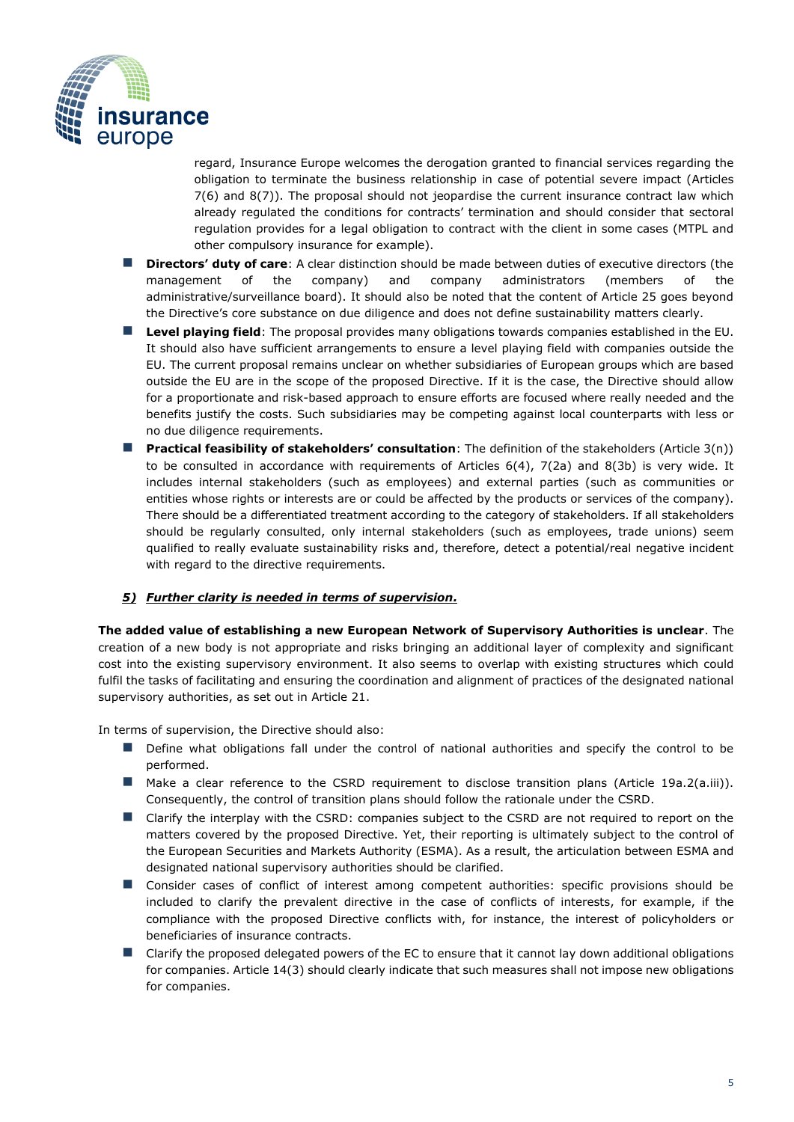

regard, Insurance Europe welcomes the derogation granted to financial services regarding the obligation to terminate the business relationship in case of potential severe impact (Articles 7(6) and 8(7)). The proposal should not jeopardise the current insurance contract law which already regulated the conditions for contracts' termination and should consider that sectoral regulation provides for a legal obligation to contract with the client in some cases (MTPL and other compulsory insurance for example).

- **Directors' duty of care**: A clear distinction should be made between duties of executive directors (the management of the company) and company administrators (members of the administrative/surveillance board). It should also be noted that the content of Article 25 goes beyond the Directive's core substance on due diligence and does not define sustainability matters clearly.
- Level playing field: The proposal provides many obligations towards companies established in the EU. It should also have sufficient arrangements to ensure a level playing field with companies outside the EU. The current proposal remains unclear on whether subsidiaries of European groups which are based outside the EU are in the scope of the proposed Directive. If it is the case, the Directive should allow for a proportionate and risk-based approach to ensure efforts are focused where really needed and the benefits justify the costs. Such subsidiaries may be competing against local counterparts with less or no due diligence requirements.
- **Practical feasibility of stakeholders' consultation**: The definition of the stakeholders (Article 3(n)) to be consulted in accordance with requirements of Articles 6(4), 7(2a) and 8(3b) is very wide. It includes internal stakeholders (such as employees) and external parties (such as communities or entities whose rights or interests are or could be affected by the products or services of the company). There should be a differentiated treatment according to the category of stakeholders. If all stakeholders should be regularly consulted, only internal stakeholders (such as employees, trade unions) seem qualified to really evaluate sustainability risks and, therefore, detect a potential/real negative incident with regard to the directive requirements.

# *5) Further clarity is needed in terms of supervision.*

**The added value of establishing a new European Network of Supervisory Authorities is unclear**. The creation of a new body is not appropriate and risks bringing an additional layer of complexity and significant cost into the existing supervisory environment. It also seems to overlap with existing structures which could fulfil the tasks of facilitating and ensuring the coordination and alignment of practices of the designated national supervisory authorities, as set out in Article 21.

In terms of supervision, the Directive should also:

- Define what obligations fall under the control of national authorities and specify the control to be performed.
- Make a clear reference to the CSRD requirement to disclose transition plans (Article 19a.2(a.iii)). Consequently, the control of transition plans should follow the rationale under the CSRD.
- Clarify the interplay with the CSRD: companies subject to the CSRD are not required to report on the matters covered by the proposed Directive. Yet, their reporting is ultimately subject to the control of the European Securities and Markets Authority (ESMA). As a result, the articulation between ESMA and designated national supervisory authorities should be clarified.
- ◼ Consider cases of conflict of interest among competent authorities: specific provisions should be included to clarify the prevalent directive in the case of conflicts of interests, for example, if the compliance with the proposed Directive conflicts with, for instance, the interest of policyholders or beneficiaries of insurance contracts.
- Clarify the proposed delegated powers of the EC to ensure that it cannot lay down additional obligations for companies. Article 14(3) should clearly indicate that such measures shall not impose new obligations for companies.